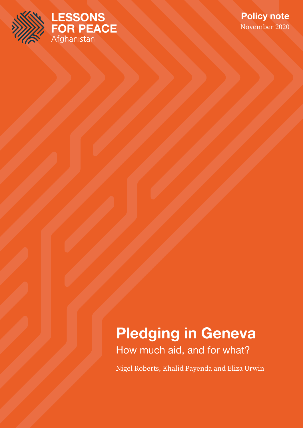



# **Pledging in Geneva**

How much aid, and for what?

Nigel Roberts, Khalid Payenda and Eliza Urwin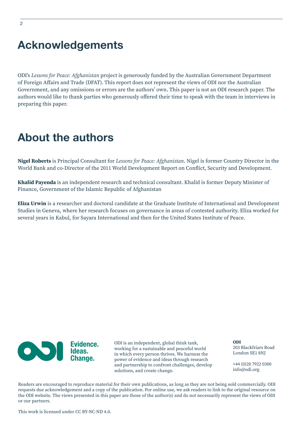# **Acknowledgements**

ODI's *Lessons for Peace: Afghanistan* project is generously funded by the Australian Government Department of Foreign Affairs and Trade (DFAT). This report does not represent the views of ODI nor the Australian Government, and any omissions or errors are the authors' own. This paper is not an ODI research paper. The authors would like to thank parties who generously offered their time to speak with the team in interviews in preparing this paper.

# **About the authors**

**Nigel Roberts** is Principal Consultant for *Lessons for Peace: Afghanistan*. Nigel is former Country Director in the World Bank and co-Director of the 2011 World Development Report on Conflict, Security and Development.

**Khalid Payenda** is an independent research and technical consultant. Khalid is former Deputy Minister of Finance, Government of the Islamic Republic of Afghanistan

**Eliza Urwin** is a researcher and doctoral candidate at the Graduate Institute of International and Development Studies in Geneva, where her research focuses on governance in areas of contested authority. Eliza worked for several years in Kabul, for Sayara International and then for the United States Institute of Peace.



ODI is an independent, global think tank, working for a sustainable and peaceful world in which every person thrives. We harness the power of evidence and ideas through research and partnership to confront challenges, develop solutions, and create change.

**ODI** 203 Blackfriars Road London SE1 8NJ

+44 (0)20 7922 0300 info@odi.org

Readers are encouraged to reproduce material for their own publications, as long as they are not being sold commercially. ODI requests due acknowledgement and a copy of the publication. For online use, we ask readers to link to the original resource on the ODI website. The views presented in this paper are those of the author(s) and do not necessarily represent the views of ODI or our partners.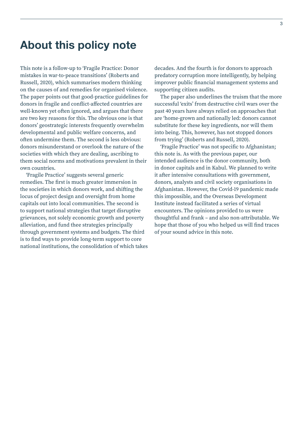# **About this policy note**

This note is a follow-up to 'Fragile Practice: Donor mistakes in war-to-peace transitions' (Roberts and Russell, 2020), which summarises modern thinking on the causes of and remedies for organised violence. The paper points out that good-practice guidelines for donors in fragile and conflict-affected countries are well-known yet often ignored, and argues that there are two key reasons for this. The obvious one is that donors' geostrategic interests frequently overwhelm developmental and public welfare concerns, and often undermine them. The second is less obvious: donors misunderstand or overlook the nature of the societies with which they are dealing, ascribing to them social norms and motivations prevalent in their own countries.

'Fragile Practice' suggests several generic remedies. The first is much greater immersion in the societies in which donors work, and shifting the locus of project design and oversight from home capitals out into local communities. The second is to support national strategies that target disruptive grievances, not solely economic growth and poverty alleviation, and fund thee strategies principally through government systems and budgets. The third is to find ways to provide long-term support to core national institutions, the consolidation of which takes

decades. And the fourth is for donors to approach predatory corruption more intelligently, by helping improver public financial management systems and supporting citizen audits.

The paper also underlines the truism that the more successful 'exits' from destructive civil wars over the past 40 years have always relied on approaches that are 'home-grown and nationally led: donors cannot substitute for these key ingredients, nor will them into being. This, however, has not stopped donors from trying' (Roberts and Russell, 2020).

'Fragile Practice' was not specific to Afghanistan; this note is. As with the previous paper, our intended audience is the donor community, both in donor capitals and in Kabul. We planned to write it after intensive consultations with government, donors, analysts and civil society organisations in Afghanistan. However, the Covid-19 pandemic made this impossible, and the Overseas Development Institute instead facilitated a series of virtual encounters. The opinions provided to us were thoughtful and frank – and also non-attributable. We hope that those of you who helped us will find traces of your sound advice in this note.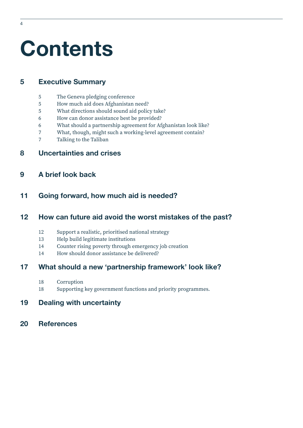# **Contents**

# **[5 Executive Summary](#page-4-0)**

- [The Geneva pledging conference](#page-4-0)
- [How much aid does Afghanistan need?](#page-4-0)
- [What directions should sound aid policy take?](#page-4-0)
- [How can donor assistance best be provided?](#page-5-0)
- [What should a partnership agreement for Afghanistan look like?](#page-5-0)
- [What, though, might such a working-level agreement contain?](#page-6-0)
- [Talking to the Taliban](#page-6-0)

## **[8 Uncertainties and crises](#page-7-0)**

## **[9 A brief look back](#page-8-0)**

## **[Going forward, how much aid is needed?](#page-10-0)**

## **[How can future aid avoid the worst mistakes of the past?](#page-11-0)**

- [Support a realistic, prioritised national strategy](#page-11-0)
- [Help build legitimate institutions](#page-12-0)
- [Counter rising poverty through emergency job creation](#page-13-0)
- [How should donor assistance be delivered?](#page-13-0)

## **[What should a new 'partnership framework' look like?](#page-16-0)**

- [Corruption](#page-17-0)
- [Supporting key government functions and priority programmes.](#page-17-0)

## **[Dealing with uncertainty](#page-18-0)**

**[References](#page-19-0)**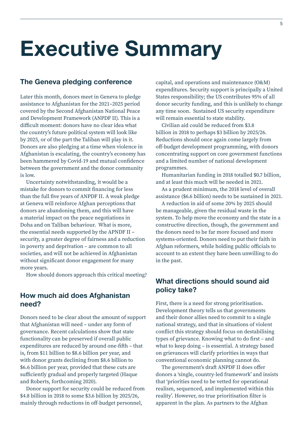# <span id="page-4-0"></span>**Executive Summary**

#### **The Geneva pledging conference**

Later this month, donors meet in Geneva to pledge assistance to Afghanistan for the 2021–2025 period covered by the Second Afghanistan National Peace and Development Framework (ANPDF II). This is a difficult moment: donors have no clear idea what the country's future political system will look like by 2025, or of the part the Taliban will play in it. Donors are also pledging at a time when violence in Afghanistan is escalating, the country's economy has been hammered by Covid-19 and mutual confidence between the government and the donor community is low.

Uncertainty notwithstanding, it would be a mistake for donors to commit financing for less than the full five years of ANPDF II. A weak pledge at Geneva will reinforce Afghan perceptions that donors are abandoning them, and this will have a material impact on the peace negotiations in Doha and on Taliban behaviour. What is more, the essential needs supported by the APNDF II – security, a greater degree of fairness and a reduction in poverty and deprivation – are common to all societies, and will not be achieved in Afghanistan without significant donor engagement for many more years.

How should donors approach this critical meeting?

#### **How much aid does Afghanistan need?**

Donors need to be clear about the amount of support that Afghanistan will need – under any form of governance. Recent calculations show that state functionality can be preserved if overall public expenditures are reduced by around one-fifth – that is, from \$11 billion to \$8.6 billion per year, and with donor grants declining from \$8.6 billion to \$6.6 billion per year, provided that these cuts are sufficiently gradual and properly targeted (Haque and Roberts, forthcoming 2020).

Donor support for security could be reduced from \$4.8 billion in 2018 to some \$3.6 billion by 2025/26, mainly through reductions in off-budget personnel,

capital, and operations and maintenance (O&M) expenditures. Security support is principally a United States responsibility; the US contributes 95% of all donor security funding, and this is unlikely to change any time soon. Sustained US security expenditure will remain essential to state stability.

Civilian aid could be reduced from \$3.8 billion in 2018 to perhaps \$3 billion by 2025/26. Reductions should once again come largely from off-budget development programming, with donors concentrating support on core government functions and a limited number of national development programmes.

Humanitarian funding in 2018 totalled \$0.7 billion, and at least this much will be needed in 2021.

As a prudent minimum, the 2018 level of overall assistance (\$6.6 billion) needs to be sustained in 2021.

A reduction in aid of some 20% by 2025 should be manageable, given the residual waste in the system. To help move the economy and the state in a constructive direction, though, the government and the donors need to be far more focused and more systems-oriented. Donors need to put their faith in Afghan reformers, while holding public officials to account to an extent they have been unwilling to do in the past.

# **What directions should sound aid policy take?**

First, there is a need for strong prioritisation. Development theory tells us that governments and their donor allies need to commit to a single national strategy, and that in situations of violent conflict this strategy should focus on destabilising types of grievance. Knowing what to do first – and what to keep doing – is essential. A strategy based on grievances will clarify priorities in ways that conventional economic planning cannot do.

The government's draft ANPDF II does offer donors a 'single, country-led framework' and insists that 'priorities need to be vetted for operational realism, sequenced, and implemented within this reality'. However, no true prioritisation filter is apparent in the plan. As partners to the Afghan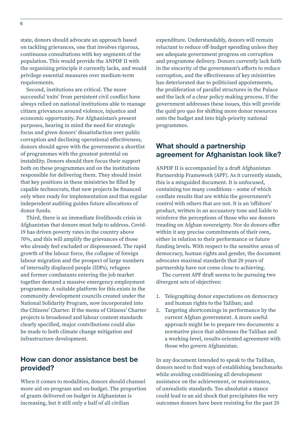<span id="page-5-0"></span>state, donors should advocate an approach based on tackling grievances, one that involves rigorous, continuous consultations with key segments of the population. This would provide the ANPDF II with the organising principle it currently lacks, and would privilege essential measures over medium-term requirements.

Second, institutions are critical. The more successful 'exits' from persistent civil conflict have always relied on national institutions able to manage citizen grievances around violence, injustice and economic opportunity. For Afghanistan's present purposes, bearing in mind the need for strategic focus and given donors' dissatisfaction over public corruption and declining operational effectiveness, donors should agree with the government a shortlist of programmes with the greatest potential on instability. Donors should then focus their support both on these programmes and on the institutions responsible for delivering them. They should insist that key positions in these ministries be filled by capable technocrats, that new projects be financed only when ready for implementation and that regular independent auditing guides future allocations of donor funds.

Third, there is an immediate livelihoods crisis in Afghanistan that donors must help to address. Covid-19 has driven poverty rates in the country above 70%, and this will amplify the grievances of those who already feel excluded or dispossessed. The rapid growth of the labour force, the collapse of foreign labour migration and the prospect of large numbers of internally displaced people (IDPs), refugees and former combatants entering the job market together demand a massive emergency employment programme. A suitable platform for this exists in the community development councils created under the National Solidarity Program, now incorporated into the Citizens' Charter. If the menu of Citizens' Charter projects is broadened and labour content standards clearly specified, major contributions could also be made to both climate change mitigation and infrastructure development.

### **How can donor assistance best be provided?**

When it comes to modalities, donors should channel more aid on-program and on-budget. The proportion of grants delivered on-budget in Afghanistan is increasing, but it still only a half of all civilian

expenditure. Understandably, donors will remain reluctant to reduce off-budget spending unless they see adequate government progress on corruption and programme delivery. Donors currently lack faith in the sincerity of the government's efforts to reduce corruption, and the effectiveness of key ministries has deteriorated due to politicized appointments, the proliferation of parallel structures in the Palace and the lack of a clear policy making process. If the government addresses these issues, this will provide the quid pro quo for shifting more donor resources onto the budget and into high-priority national programmes.

### **What should a partnership agreement for Afghanistan look like?**

ANPDF II is accompanied by a draft Afghanistan Partnership Framework (APF). As it currently stands, this is a misguided document. It is unfocused, containing too many conditions – some of which conflate results that are within the government's control with others that are not. It is an 'offshore' product, written in an accusatory tone and liable to reinforce the perceptions of those who see donors treading on Afghan sovereignty. Nor do donors offer within it any precise commitments of their own, either in relation to their performance or future funding levels. With respect to the sensitive areas of democracy, human rights and gender, the document advocates maximal standards that 20 years of partnership have not come close to achieving.

The current APF draft seems to be pursuing two divergent sets of objectives:

- 1. Telegraphing donor expectations on democracy and human rights to the Taliban; and
- 2. Targeting shortcomings in performance by the current Afghan government. A more useful approach might be to prepare two documents: a normative piece that addresses the Taliban and a working-level, results-oriented agreement with those who govern Afghanistan.

In any document intended to speak to the Taliban, donors need to find ways of establishing benchmarks while avoiding conditioning all development assistance on the achievement, or maintenance, of unrealistic standards. Too absolutist a stance could lead to an aid shock that precipitates the very outcomes donors have been resisting for the past 20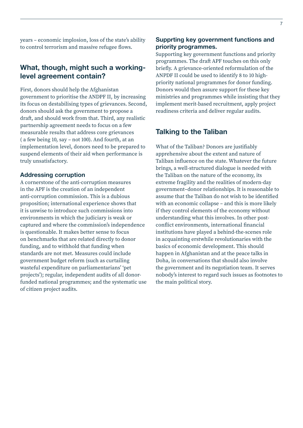<span id="page-6-0"></span>years – economic implosion, loss of the state's ability to control terrorism and massive refugee flows.

### **What, though, might such a workinglevel agreement contain?**

First, donors should help the Afghanistan government to prioritise the ANDPF II, by increasing its focus on destabilising types of grievances. Second, donors should ask the government to propose a draft, and should work from that. Third, any realistic partnership agreement needs to focus on a few measurable results that address core grievances ( a few being 10, say – not 100). And fourth, at an implementation level, donors need to be prepared to suspend elements of their aid when performance is truly unsatisfactory.

#### **Addressing corruption**

A cornerstone of the anti-corruption measures in the APF is the creation of an independent anti-corruption commission. This is a dubious proposition; international experience shows that it is unwise to introduce such commissions into environments in which the judiciary is weak or captured and where the commission's independence is questionable. It makes better sense to focus on benchmarks that are related directly to donor funding, and to withhold that funding when standards are not met. Measures could include government budget reform (such as curtailing wasteful expenditure on parliamentarians' 'pet projects'); regular, independent audits of all donorfunded national programmes; and the systematic use of citizen project audits.

#### **Supprting key government functions and priority programmes.**

Supporting key government functions and priority programmes. The draft APF touches on this only briefly. A grievance-oriented reformulation of the ANPDF II could be used to identify 8 to 10 highpriority national programmes for donor funding. Donors would then assure support for these key ministries and programmes while insisting that they implement merit-based recruitment, apply project readiness criteria and deliver regular audits.

#### **Talking to the Taliban**

What of the Taliban? Donors are justifiably apprehensive about the extent and nature of Taliban influence on the state. Whatever the future brings, a well-structured dialogue is needed with the Taliban on the nature of the economy, its extreme fragility and the realities of modern-day government–donor relationships. It is reasonable to assume that the Taliban do not wish to be identified with an economic collapse – and this is more likely if they control elements of the economy without understanding what this involves. In other postconflict environments, international financial institutions have played a behind-the-scenes role in acquainting erstwhile revolutionaries with the basics of economic development. This should happen in Afghanistan and at the peace talks in Doha, in conversations that should also involve the government and its negotiation team. It serves nobody's interest to regard such issues as footnotes to the main political story.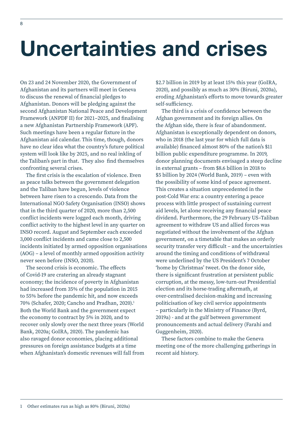# <span id="page-7-0"></span>**Uncertainties and crises**

On 23 and 24 November 2020, the Government of Afghanistan and its partners will meet in Geneva to discuss the renewal of financial pledges to Afghanistan. Donors will be pledging against the second Afghanistan National Peace and Development Framework (ANPDF II) for 2021–2025, and finalising a new Afghanistan Partnership Framework (APF). Such meetings have been a regular fixture in the Afghanistan aid calendar. This time, though, donors have no clear idea what the country's future political system will look like by 2025, and no real inkling of the Taliban's part in that. They also find themselves confronting several crises.

The first crisis is the escalation of violence. Even as peace talks between the government delegation and the Taliban have begun, levels of violence between have risen to a crescendo. Data from the International NGO Safety Organisation (INSO) shows that in the third quarter of 2020, more than 2,500 conflict incidents were logged each month, driving conflict activity to the highest level in any quarter on INSO record. August and September each exceeded 3,000 conflict incidents and came close to 2,500 incidents initiated by armed opposition organisations (AOG) – a level of monthly armed opposition activity never seen before (INSO, 2020).

The second crisis is economic. The effects of Covid-19 are cratering an already stagnant economy; the incidence of poverty in Afghanistan had increased from 35% of the population in 2015 to 55% before the pandemic hit, and now exceeds 70% (Schafer, 2020; Cancho and Pradhan, 2020).1 Both the World Bank and the government expect the economy to contract by 5% in 2020, and to recover only slowly over the next three years (World Bank, 2020a; GoIRA, 2020). The pandemic has also ravaged donor economies, placing additional pressures on foreign assistance budgets at a time when Afghanistan's domestic revenues will fall from

\$2.7 billion in 2019 by at least 15% this year (GoIRA, 2020), and possibly as much as 30% (Biruni, 2020a), eroding Afghanistan's efforts to move towards greater self-sufficiency.

The third is a crisis of confidence between the Afghan government and its foreign allies. On the Afghan side, there is fear of abandonment. Afghanistan is exceptionally dependent on donors, who in 2018 (the last year for which full data is available) financed almost 80% of the nation's \$11 billion public expenditure programme. In 2019, donor planning documents envisaged a steep decline in external grants – from \$8.6 billion in 2018 to \$5 billion by 2024 (World Bank, 2019) – even with the possibility of some kind of peace agreement. This creates a situation unprecedented in the post-Cold War era: a country entering a peace process with little prospect of sustaining current aid levels, let alone receiving any financial peace dividend. Furthermore, the 29 February US–Taliban agreement to withdraw US and allied forces was negotiated without the involvement of the Afghan government, on a timetable that makes an orderly security transfer very difficult – and the uncertainties around the timing and conditions of withdrawal were underlined by the US President's 7 October 'home by Christmas' tweet. On the donor side, there is significant frustration at persistent public corruption, at the messy, low-turn-out Presidential election and its horse-trading aftermath, at over-centralised decision-making and increasing politicisation of key civil service appointments – particularly in the Ministry of Finance (Byrd, 2019a) - and at the gulf between government pronouncements and actual delivery (Farahi and Guggenheim, 2020).

These factors combine to make the Geneva meeting one of the more challenging gatherings in recent aid history.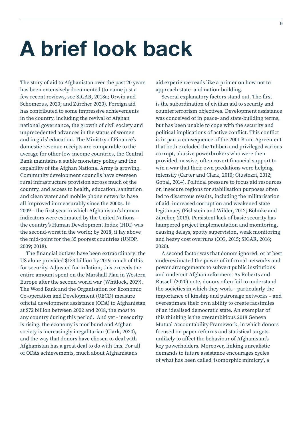# <span id="page-8-0"></span>**A brief look back**

The story of aid to Afghanistan over the past 20 years has been extensively documented (to name just a few recent reviews, see SIGAR, 2018a; Urwin and Schomerus, 2020; and Zürcher 2020). Foreign aid has contributed to some impressive achievements in the country, including the revival of Afghan national governance, the growth of civil society and unprecedented advances in the status of women and in girls' education. The Ministry of Finance's domestic revenue receipts are comparable to the average for other low-income countries, the Central Bank maintains a stable monetary policy and the capability of the Afghan National Army is growing. Community development councils have overseen rural infrastructure provision across much of the country, and access to health, education, sanitation and clean water and mobile phone networks have all improved immeasurably since the 2000s. In 2009 – the first year in which Afghanistan's human indicators were estimated by the United Nations – the country's Human Development Index (HDI) was the second-worst in the world; by 2018, it lay above the mid-point for the 35 poorest countries (UNDP, 2009; 2018).

The financial outlays have been extraordinary: the US alone provided \$133 billion by 2019, much of this for security. Adjusted for inflation, this exceeds the entire amount spent on the Marshall Plan in Western Europe after the second world war (Whitlock, 2019). The Word Bank and the Organisation for Economic Co-operation and Development (OECD) measure official development assistance (ODA) to Afghanistan at \$72 billion between 2002 and 2018, the most to any country during this period. And yet - insecurity is rising, the economy is moribund and Afghan society is increasingly inegalitarian (Clark, 2020), and the way that donors have chosen to deal with Afghanistan has a great deal to do with this. For all of ODA's achievements, much about Afghanistan's

aid experience reads like a primer on how not to approach state- and nation-building.

Several explanatory factors stand out. The first is the subordination of civilian aid to security and counterterrorism objectives. Development assistance was conceived of in peace- and state-building terms, but has been unable to cope with the security and political implications of active conflict. This conflict is in part a consequence of the 2001 Bonn Agreement that both excluded the Taliban and privileged various corrupt, abusive powerbrokers who were then provided massive, often covert financial support to win a war that their own predations were helping intensify (Carter and Clark, 2010; Giustozzi, 2012; Gopal, 2014). Political pressure to focus aid resources on insecure regions for stabilisation purposes often led to disastrous results, including the militarisation of aid, increased corruption and weakened state legitimacy (Fishstein and Wilder, 2012; Böhnke and Zürcher, 2013). Persistent lack of basic security has hampered project implementation and monitoring, causing delays, spotty supervision, weak monitoring and heavy cost overruns (OIG, 2015; SIGAR, 2016; 2020).

A second factor was that donors ignored, or at best underestimated the power of informal networks and power arrangements to subvert public institutions and undercut Afghan reformers. As Roberts and Russell (2020) note, donors often fail to understand the societies in which they work – particularly the importance of kinship and patronage networks – and overestimate their own ability to create facsimiles of an idealised democratic state. An exemplar of this thinking is the overambitious 2018 Geneva Mutual Accountability Framework, in which donors focused on paper reforms and statistical targets unlikely to affect the behaviour of Afghanistan's key powerholders. Moreover, linking unrealistic demands to future assistance encourages cycles of what has been called 'isomorphic mimicry', a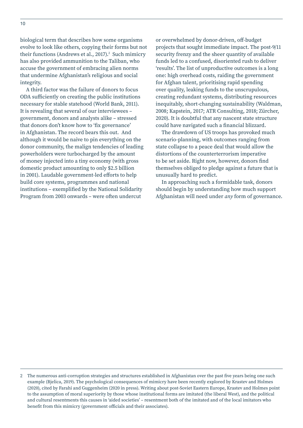biological term that describes how some organisms evolve to look like others, copying their forms but not their functions (Andrews et al., 2017). $2$  Such mimicry has also provided ammunition to the Taliban, who accuse the government of embracing alien norms that undermine Afghanistan's religious and social integrity.

A third factor was the failure of donors to focus ODA sufficiently on creating the public institutions necessary for stable statehood (World Bank, 2011). It is revealing that several of our interviewees – government, donors and analysts alike – stressed that donors don't know how to 'fix governance' in Afghanistan. The record bears this out. And although it would be naive to pin everything on the donor community, the malign tendencies of leading powerholders were turbocharged by the amount of money injected into a tiny economy (with gross domestic product amounting to only \$2.5 billion in 2001). Laudable government-led efforts to help build core systems, programmes and national institutions – exemplified by the National Solidarity Program from 2003 onwards – were often undercut

or overwhelmed by donor-driven, off-budget projects that sought immediate impact. The post-9/11 security frenzy and the sheer quantity of available funds led to a confused, disoriented rush to deliver 'results'. The list of unproductive outcomes is a long one: high overhead costs, raiding the government for Afghan talent, prioritising rapid spending over quality, leaking funds to the unscrupulous, creating redundant systems, distributing resources inequitably, short-changing sustainability (Waldman, 2008; Kapstein, 2017; ATR Consulting, 2018; Zürcher, 2020). It is doubtful that any nascent state structure could have navigated such a financial blizzard.

The drawdown of US troops has provoked much scenario-planning, with outcomes ranging from state collapse to a peace deal that would allow the distortions of the counterterrorism imperative to be set aside. Right now, however, donors find themselves obliged to pledge against a future that is unusually hard to predict.

In approaching such a formidable task, donors should begin by understanding how much support Afghanistan will need under *any* form of governance.

<sup>2</sup> The numerous anti-corruption strategies and structures established in Afghanistan over the past five years being one such example (Bjelica, 2019). The psychological consequences of mimicry have been recently explored by Krastev and Holmes (2020), cited by Farahi and Guggenheim (2020 in press). Writing about post-Soviet Eastern Europe, Krastev and Holmes point to the assumption of moral superiority by those whose institutional forms are imitated (the liberal West), and the political and cultural resentments this causes in 'aided societies' – resentment both of the imitated and of the local imitators who benefit from this mimicry (government officials and their associates).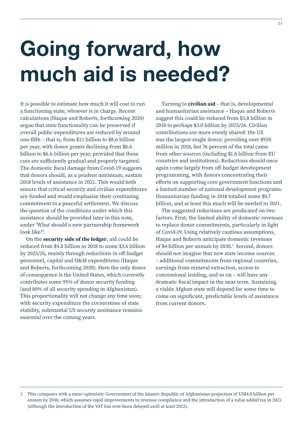# <span id="page-10-0"></span>**Going forward, how much aid is needed?**

It is possible to estimate how much it will cost to run a functioning state, whoever is in charge. Recent calculations (Haque and Roberts, forthcoming 2020) argue that state functionality can be preserved if overall public expenditures are reduced by around one-fifth – that is, from \$11 billion to \$8.6 billion per year, with donor grants declining from \$8.6 billion to \$6.6 billion per year, provided that these cuts are sufficiently gradual and properly targeted. The domestic fiscal damage from Covid-19 suggests that donors should, as a prudent minimum, sustain 2018 levels of assistance in 2021. This would both ensure that critical security and civilian expenditures are funded and would emphasise their continuing commitment to a peaceful settlement. We discuss the question of the conditions under which this assistance should be provided later in this note, under 'What should a new partnership framework look like?'.

On the **security side of the ledger**, aid could be reduced from \$4.8 billion in 2018 to some \$3.6 billion by 2025/26, mainly through reductions in off-budget personnel, capital and O&M expenditures (Haque and Roberts, forthcoming 2020). Here the only donor of consequence is the United States, which currently contributes some 95% of donor security funding (and 80% of all security spending in Afghanistan). This proportionality will not change any time soon; with security expenditure the cornerstone of state stability, substantial US security assistance remains essential over the coming years.

Turning to **civilian aid** – that is, developmental and humanitarian assistance – Haque and Roberts suggest this could be reduced from \$3.8 billion in 2018 to perhaps \$3.0 billion by 2025/26. Civilian contributions are more evenly shared: the US was the largest single donor, providing over \$920 million in 2018, but 76 percent of the total came from other sources (including \$1.8 billion from EU countries and institutions). Reductions should once again come largely from off-budget development programming, with donors concentrating their efforts on supporting core government functions and a limited number of national development programs. Humanitarian funding in 2018 totalled some \$0.7 billion, and at least this much will be needed in 2021.

The suggested reductions are predicated on two factors. First, the limited ability of domestic revenues to replace donor commitments, particularly in light of Covid-19. Using relatively cautious assumptions, Haque and Roberts anticipate domestic revenues of \$4 billion per annum by 2030.<sup>3</sup> Second, donors should not imagine that new state income sources – additional commitments from regional countries, earnings from mineral extraction, access to concessional lending, and so on – will have any dramatic fiscal impact in the near term. Sustaining a viable Afghan state will depend for some time to come on significant, predictable levels of assistance from current donors.

<sup>3</sup> This compares with a more optimistic Government of the Islamic Republic of Afghanistan projection of US\$4.8 billion per annum by 2030, which assumes rapid improvements in revenue compliance and the introduction of a value added tax in 2021 (although the introduction of the VAT has now been delayed until at least 2022).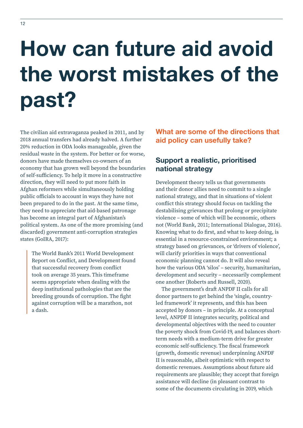# <span id="page-11-0"></span>**How can future aid avoid the worst mistakes of the past?**

The civilian aid extravaganza peaked in 2011, and by 2018 annual transfers had already halved. A further 20% reduction in ODA looks manageable, given the residual waste in the system. For better or for worse, donors have made themselves co-owners of an economy that has grown well beyond the boundaries of self-sufficiency. To help it move in a constructive direction, they will need to put more faith in Afghan reformers while simultaneously holding public officials to account in ways they have not been prepared to do in the past. At the same time, they need to appreciate that aid-based patronage has become an integral part of Afghanistan's political system. As one of the more promising (and discarded) government anti-corruption strategies states (GoIRA, 2017):

The World Bank's 2011 World Development Report on Conflict, and Development found that successful recovery from conflict took on average 35 years. This timeframe seems appropriate when dealing with the deep institutional pathologies that are the breeding grounds of corruption. The fight against corruption will be a marathon, not a dash.

**What are some of the directions that aid policy can usefully take?**

# **Support a realistic, prioritised national strategy**

Development theory tells us that governments and their donor allies need to commit to a single national strategy, and that in situations of violent conflict this strategy should focus on tackling the destabilising grievances that prolong or precipitate violence – some of which will be economic, others not (World Bank, 2011; International Dialogue, 2016). Knowing what to do first, and what to keep doing, is essential in a resource-constrained environment; a strategy based on grievances, or 'drivers of violence', will clarify priorities in ways that conventional economic planning cannot do. It will also reveal how the various ODA 'silos' – security, humanitarian, development and security – necessarily complement one another (Roberts and Russell, 2020).

The government's draft ANPDF II calls for all donor partners to get behind the 'single, countryled framework' it represents, and this has been accepted by donors – in principle. At a conceptual level, ANPDF II integrates security, political and developmental objectives with the need to counter the poverty shock from Covid-19, and balances shortterm needs with a medium-term drive for greater economic self-sufficiency. The fiscal framework (growth, domestic revenue) underpinning ANPDF II is reasonable, albeit optimistic with respect to domestic revenues. Assumptions about future aid requirements are plausible; they accept that foreign assistance will decline (in pleasant contrast to some of the documents circulating in 2019, which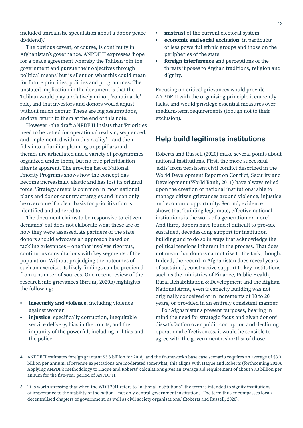<span id="page-12-0"></span>included unrealistic speculation about a donor peace dividend).<sup>4</sup>

The obvious caveat, of course, is continuity in Afghanistan's governance. ANPDF II expresses 'hope for a peace agreement whereby the Taliban join the government and pursue their objectives through political means' but is silent on what this could mean for future priorities, policies and programmes. The unstated implication in the document is that the Taliban would play a relatively minor, 'containable' role, and that investors and donors would adjust without much demur. These are big assumptions, and we return to them at the end of this note.

However - the draft ANPDF II insists that 'Priorities need to be vetted for operational realism, sequenced, and implemented within this reality' – and then falls into a familiar planning trap: pillars and themes are articulated and a variety of programmes organized under them, but no true prioritisation filter is apparent. The growing list of National Priority Programs shows how the concept has become increasingly elastic and has lost its original force. 'Strategy creep' is common in most national plans and donor country strategies and it can only be overcome if a clear basis for prioritisation is identified and adhered to.

The document claims to be responsive to 'citizen demands' but does not elaborate what these are or how they were assessed. As partners of the state, donors should advocate an approach based on tackling grievances – one that involves rigorous, continuous consultations with key segments of the population. Without prejudging the outcomes of such an exercise, its likely findings can be predicted from a number of sources. One recent review of the research into grievances (Biruni, 2020b) highlights the following:

- **• insecurity and violence**, including violence against women
- **• injustice**, specifically corruption, inequitable service delivery, bias in the courts, and the impunity of the powerful, including militias and the police
- **• mistrust** of the current electoral system
- **• economic and social exclusion**, in particular of less powerful ethnic groups and those on the peripheries of the state
- **• foreign interference** and perceptions of the threats it poses to Afghan traditions, religion and dignity.

Focusing on critical grievances would provide ANPDF II with the organising principle it currently lacks, and would privilege essential measures over medium-term requirements (though not to their exclusion).

#### **Help build legitimate institutions**

Roberts and Russell (2020) make several points about national institutions. First, the more successful 'exits' from persistent civil conflict described in the World Development Report on Conflict, Security and Development (World Bank, 2011) have always relied upon the creation of national institutions<sup>5</sup> able to manage citizen grievances around violence, injustice and economic opportunity. Second, evidence shows that 'building legitimate, effective national institutions is the work of a generation or more'. And third, donors have found it difficult to provide sustained, decades-long support for institution building and to do so in ways that acknowledge the political tensions inherent in the process. That does not mean that donors cannot rise to the task, though. Indeed, the record in Afghanistan does reveal years of sustained, constructive support to key institutions such as the ministries of Finance, Public Health, Rural Rehabilitation & Development and the Afghan National Army, even if capacity building was not originally conceived of in increments of 10 to 20 years, or provided in an entirely consistent manner.

For Afghanistan's present purposes, bearing in mind the need for strategic focus and given donors' dissatisfaction over public corruption and declining operational effectiveness, it would be sensible to agree with the government a shortlist of those

- 4 ANPDF II estimates foreign grants at \$3.8 billion for 2018, and the framework's base case scenario requires an average of \$3.3 billion per annum. If revenue expectations are moderated somewhat, this aligns with Haque and Roberts (forthcoming 2020). Applying ANPDF's methodology to Haque and Roberts' calculations gives an average aid requirement of about \$3.3 billion per annum for the five-year period of ANPDF II.
- 5 'It is worth stressing that when the WDR 2011 refers to "national institutions", the term is intended to signify institutions of importance to the stability of the nation – not only central government institutions. The term thus encompasses local/ decentralised chapters of government, as well as civil society organisations.' (Roberts and Russell, 2020).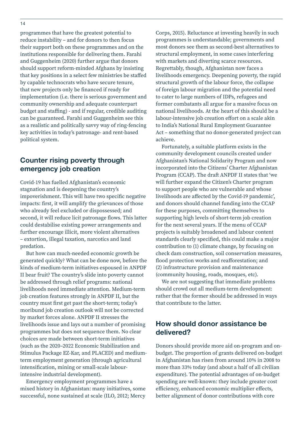<span id="page-13-0"></span>programmes that have the greatest potential to reduce instability – and for donors to then focus their support both on these programmes and on the institutions responsible for delivering them. Farahi and Guggenheim (2020) further argue that donors should support reform-minded Afghans by insisting that key positions in a select few ministries be staffed by capable technocrats who have secure tenure, that new projects only be financed if ready for implementation (i.e. there is serious government and community ownership and adequate counterpart budget and staffing) - and if regular, credible auditing can be guaranteed. Farahi and Guggenheim see this as a realistic and politically savvy way of ring-fencing key activities in today's patronage- and rent-based political system.

### **Counter rising poverty through emergency job creation**

Covid-19 has fuelled Afghanistan's economic stagnation and is deepening the country's impoverishment. This will have two specific negative impacts: first, it will amplify the grievances of those who already feel excluded or dispossessed; and second, it will reduce licit patronage flows. This latter could destabilise existing power arrangements and further encourage illicit, more violent alternatives – extortion, illegal taxation, narcotics and land predation.

But how can much-needed economic growth be generated quickly? What can be done now, before the kinds of medium-term initiatives espoused in ANPDF II bear fruit? The country's slide into poverty cannot be addressed through relief programs: national livelihoods need immediate attention. Medium-term job creation features strongly in ANPDF II, but the country must first get past the short-term; today's moribund job creation outlook will not be corrected by market forces alone. ANPDF II stresses the livelihoods issue and lays out a number of promising programmes but does not sequence them. No clear choices are made between short-term initiatives (such as the 2020–2022 Economic Stabilization and Stimulus Package EZ-Kar, and PLACED) and mediumterm employment generation (through agricultural intensification, mining or small-scale labourintensive industrial development).

Emergency employment programmes have a mixed history in Afghanistan: many initiatives, some successful, none sustained at scale (ILO, 2012; Mercy

Corps, 2015). Reluctance at investing heavily in such programmes is understandable; governments and most donors see them as second-best alternatives to structural employment, in some cases interfering with markets and diverting scarce resources. Regrettably, though, Afghanistan now faces a livelihoods emergency. Deepening poverty, the rapid structural growth of the labour force, the collapse of foreign labour migration and the potential need to cater to large numbers of IDPs, refugees and former combatants all argue for a massive focus on national livelihoods. At the heart of this should be a labour-intensive job creation effort on a scale akin to India's National Rural Employment Guarantee Act – something that no donor-generated project can achieve.

Fortunately, a suitable platform exists in the community development councils created under Afghanistan's National Solidarity Program and now incorporated into the Citizens' Charter Afghanistan Program (CCAP). The draft ANPDF II states that 'we will further expand the Citizen's Charter program to support people who are vulnerable and whose livelihoods are affected by the Covid-19 pandemic', and donors should channel funding into the CCAP for these purposes, committing themselves to supporting high levels of short-term job creation for the next several years. If the menu of CCAP projects is suitably broadened and labour content standards clearly specified, this could make a major contribution to (1) climate change, by focusing on check dam construction, soil conservation measures, flood protection works and reafforestation; and (2) infrastructure provision and maintenance (community housing, roads, mosques, etc).

We are not suggesting that immediate problems should crowd out all medium-term development: rather that the former should be addressed in ways that contribute to the latter.

## **How should donor assistance be delivered?**

Donors should provide more aid on-program and onbudget. The proportion of grants delivered on-budget in Afghanistan has risen from around 10% in 2008 to more than 33% today (and about a half of all civilian expenditure). The potential advantages of on-budget spending are well-known: they include greater cost efficiency, enhanced economic multiplier effects, better alignment of donor contributions with core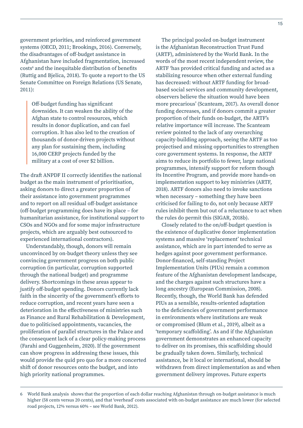government priorities, and reinforced government systems (OECD, 2011; Brookings, 2016). Conversely, the disadvantages of off-budget assistance in Afghanistan have included fragmentation, increased costs<sup>6</sup> and the inequitable distribution of benefits (Ruttig and Bjelica, 2018). To quote a report to the US Senate Committee on Foreign Relations (US Senate, 2011):

Off-budget funding has significant downsides. It can weaken the ability of the Afghan state to control resources, which results in donor duplication, and can fuel corruption. It has also led to the creation of thousands of donor-driven projects without any plan for sustaining them, including 16,000 CERP projects funded by the military at a cost of over \$2 billion.

The draft ANPDF II correctly identifies the national budget as the main instrument of prioritisation, asking donors to direct a greater proportion of their assistance into government programmes and to report on all residual off-budget assistance (off-budget programming does have its place – for humanitarian assistance, for institutional support to CSOs and NGOs and for some major infrastructure projects, which are arguably best outsourced to experienced international contractors).

Understandably, though, donors will remain unconvinced by on-budget theory unless they see convincing government progress on both public corruption (in particular, corruption supported through the national budget) and programme delivery. Shortcomings in these areas appear to justify off-budget spending. Donors currently lack faith in the sincerity of the government's efforts to reduce corruption, and recent years have seen a deterioration in the effectiveness of ministries such as Finance and Rural Rehabilitation & Development, due to politicised appointments, vacancies, the proliferation of parallel structures in the Palace and the consequent lack of a clear policy-making process (Farahi and Guggenheim, 2020). If the government can show progress in addressing these issues, this would provide the quid pro quo for a more concerted shift of donor resources onto the budget, and into high priority national programmes.

The principal pooled on-budget instrument is the Afghanistan Reconstruction Trust Fund (ARTF), administered by the World Bank. In the words of the most recent independent review, the ARTF 'has provided critical funding and acted as a stabilizing resource when other external funding has decreased: without ARTF funding for broadbased social services and community development, observers believe the situation would have been more precarious' (Scanteam, 2017). As overall donor funding decreases, and if donors commit a greater proportion of their funds on-budget, the ARTF's relative importance will increase. The Scanteam review pointed to the lack of any overarching capacity-building approach, seeing the ARTF as too projectised and missing opportunities to strengthen core government systems. In response, the ARTF aims to reduce its portfolio to fewer, large national programmes, intensify support for reform though its Incentive Program, and provide more hands-on implementation support to key ministries (ARTF, 2018). ARTF donors also need to invoke sanctions when necessary – something they have been criticised for failing to do, not only because ARTF rules inhibit them but out of a reluctance to act when the rules do permit this (SIGAR, 2018b).

Closely related to the on/off-budget question is the existence of duplicative donor implementation systems and massive 'replacement' technical assistance, which are in part intended to serve as hedges against poor government performance. Donor-financed, self-standing Project Implementation Units (PIUs) remain a common feature of the Afghanistan development landscape, and the charges against such structures have a long ancestry (European Commission, 2008). Recently, though, the World Bank has defended PIUs as a sensible, results-oriented adaptation to the deficiencies of government performance in environments where institutions are weak or compromised (Blum et al., 2019), albeit as a 'temporary scaffolding'. As and if the Afghanistan government demonstrates an enhanced capacity to deliver on its promises, this scaffolding should be gradually taken down. Similarly, technical assistance, be it local or international, should be withdrawn from direct implementation as and when government delivery improves. Future experts

<sup>6</sup> World Bank analysis shows that the proportion of each dollar reaching Afghanistan through on-budget assistance is much higher (58 cents versus 20 cents), and that 'overhead' costs associated with on-budget assistance are much lower (for selected road projects, 12% versus 60% – see World Bank, 2012).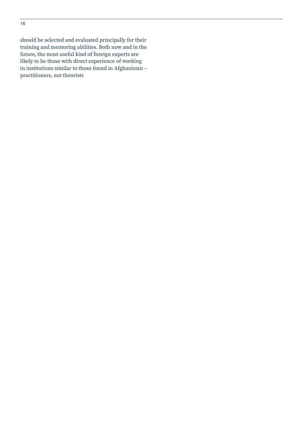should be selected and evaluated principally for their training and mentoring abilities. Both now and in the future, the most useful kind of foreign experts are likely to be those with direct experience of working in institutions similar to those found in Afghanistan – practitioners, not theorists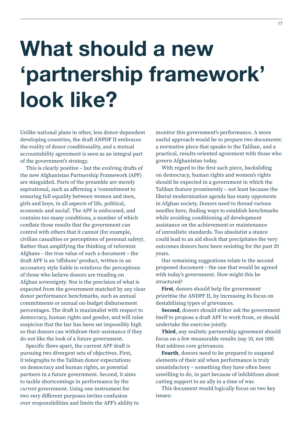# <span id="page-16-0"></span>**What should a new 'partnership framework' look like?**

Unlike national plans in other, less donor-dependent developing countries, the draft ANPDF II embraces the reality of donor conditionality, and a mutual accountability agreement is seen as an integral part of the government's strategy.

This is clearly positive – but the evolving drafts of the new Afghanistan Partnership Framework (APF) are misguided. Parts of the preamble are merely aspirational, such as affirming a 'commitment to ensuring full equality between women and men, girls and boys, in all aspects of life, political, economic and social'. The APF is unfocused, and contains too many conditions, a number of which conflate those results that the government can control with others that it cannot (for example, civilian casualties or perceptions of personal safety). Rather than amplifying the thinking of reformist Afghans – the true value of such a document – the draft APF is an 'offshore' product, written in an accusatory style liable to reinforce the perceptions of those who believe donors are treading on Afghan sovereignty. Nor is the precision of what is expected from the government matched by any clear donor performance benchmarks, such as annual commitments or annual on-budget disbursement percentages. The draft is maximalist with respect to democracy, human rights and gender, and will raise suspicion that the bar has been set impossibly high so that donors can withdraw their assistance if they do not like the look of a future government.

Specific flaws apart, the current APF draft is pursuing two divergent sets of objectives. First, it telegraphs to the Taliban donor expectations on democracy and human rights, as potential partners in a future government. Second, it aims to tackle shortcomings in performance by the *current* government. Using one instrument for two very different purposes invites confusion over responsibilities and limits the APF's ability to

monitor this government's performance. A more useful approach would be to prepare two documents: a normative piece that speaks to the Taliban, and a practical, results-oriented agreement with those who govern Afghanistan today.

With regard to the first such piece, backsliding on democracy, human rights and women's rights should be expected in a government in which the Taliban feature prominently – not least because the liberal modernisation agenda has many opponents in Afghan society. Donors need to thread various needles here, finding ways to establish benchmarks while avoiding conditioning *all* development assistance on the achievement or maintenance of unrealistic standards. Too absolutist a stance could lead to an aid shock that precipitates the very outcomes donors have been resisting for the past 20 years.

Our remaining suggestions relate to the second proposed document – the one that would be agreed with today's government. How might this be structured?

**First**, donors should help the government prioritise the ANDPF II, by increasing its focus on destabilising types of grievances.

**Second**, donors should either ask the government itself to propose a draft APF to work from, or should undertake the exercise jointly.

**Third**, any realistic partnership agreement should focus on a few measurable results (say 10, not 100) that address core grievances.

**Fourth**, donors need to be prepared to suspend elements of their aid when performance is truly unsatisfactory – something they have often been unwilling to do, in part because of inhibitions about cutting support to an ally in a time of war.

This document would logically focus on two key issues: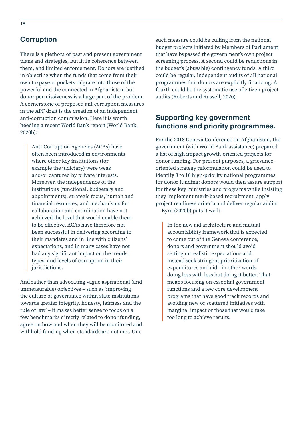### <span id="page-17-0"></span>**Corruption**

There is a plethora of past and present government plans and strategies, but little coherence between them, and limited enforcement. Donors are justified in objecting when the funds that come from their own taxpayers' pockets migrate into those of the powerful and the connected in Afghanistan: but donor permissiveness is a large part of the problem. A cornerstone of proposed ant-corruption measures in the APF draft is the creation of an independent anti-corruption commission. Here it is worth heeding a recent World Bank report (World Bank, 2020b):

Anti-Corruption Agencies (ACAs) have often been introduced in environments where other key institutions (for example the judiciary) were weak and/or captured by private interests. Moreover, the independence of the institutions (functional, budgetary and appointments), strategic focus, human and financial resources, and mechanisms for collaboration and coordination have not achieved the level that would enable them to be effective. ACAs have therefore not been successful in delivering according to their mandates and in line with citizens' expectations, and in many cases have not had any significant impact on the trends, types, and levels of corruption in their jurisdictions.

And rather than advocating vague aspirational (and unmeasurable) objectives – such as 'improving the culture of governance within state institutions towards greater integrity, honesty, fairness and the rule of law' – it makes better sense to focus on a few benchmarks directly related to donor funding, agree on how and when they will be monitored and withhold funding when standards are not met. One

such measure could be culling from the national budget projects initiated by Members of Parliament that have bypassed the government's own project screening process. A second could be reductions in the budget's (abusable) contingency funds. A third could be regular, independent audits of all national programmes that donors are explicitly financing. A fourth could be the systematic use of citizen project audits (Roberts and Russell, 2020).

### **Supporting key government functions and priority programmes.**

For the 2018 Geneva Conference on Afghanistan, the government (with World Bank assistance) prepared a list of high impact growth-oriented projects for donor funding. For present purposes, a grievanceoriented strategy reformulation could be used to identify 8 to 10 high-priority national programmes for donor funding; donors would then assure support for these key ministries and programs while insisting they implement merit-based recruitment, apply project readiness criteria and deliver regular audits. Byrd (2020b) puts it well:

In the new aid architecture and mutual accountability framework that is expected to come out of the Geneva conference, donors and government should avoid setting unrealistic expectations and instead seek stringent prioritization of expenditures and aid—in other words, doing less with less but doing it better. That means focusing on essential government functions and a few core development programs that have good track records and avoiding new or scattered initiatives with marginal impact or those that would take too long to achieve results.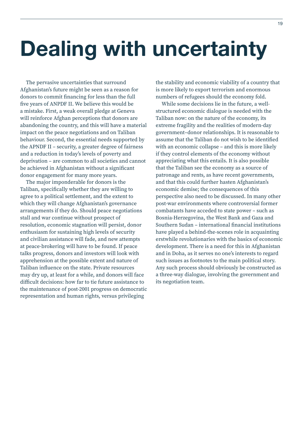# <span id="page-18-0"></span>**Dealing with uncertainty**

The pervasive uncertainties that surround Afghanistan's future might be seen as a reason for donors to commit financing for less than the full five years of ANPDF II. We believe this would be a mistake. First, a weak overall pledge at Geneva will reinforce Afghan perceptions that donors are abandoning the country, and this will have a material impact on the peace negotiations and on Taliban behaviour. Second, the essential needs supported by the APNDF II – security, a greater degree of fairness and a reduction in today's levels of poverty and deprivation – are common to all societies and cannot be achieved in Afghanistan without a significant donor engagement for many more years.

The major imponderable for donors is the Taliban, specifically whether they are willing to agree to a political settlement, and the extent to which they will change Afghanistan's governance arrangements if they do. Should peace negotiations stall and war continue without prospect of resolution, economic stagnation will persist, donor enthusiasm for sustaining high levels of security and civilian assistance will fade, and new attempts at peace-brokering will have to be found. If peace talks progress, donors and investors will look with apprehension at the possible extent and nature of Taliban influence on the state. Private resources may dry up, at least for a while, and donors will face difficult decisions: how far to tie future assistance to the maintenance of post-2001 progress on democratic representation and human rights, versus privileging

the stability and economic viability of a country that is more likely to export terrorism and enormous numbers of refugees should the economy fold.

While some decisions lie in the future, a wellstructured economic dialogue is needed with the Taliban now: on the nature of the economy, its extreme fragility and the realities of modern-day government–donor relationships. It is reasonable to assume that the Taliban do not wish to be identified with an economic collapse – and this is more likely if they control elements of the economy without appreciating what this entails. It is also possible that the Taliban see the economy as a source of patronage and rents, as have recent governments, and that this could further hasten Afghanistan's economic demise; the consequences of this perspective also need to be discussed. In many other post-war environments where controversial former combatants have acceded to state power – such as Bosnia-Herzegovina, the West Bank and Gaza and Southern Sudan – international financial institutions have played a behind-the-scenes role in acquainting erstwhile revolutionaries with the basics of economic development. There is a need for this in Afghanistan and in Doha, as it serves no one's interests to regard such issues as footnotes to the main political story. Any such process should obviously be constructed as a three-way dialogue, involving the government and its negotiation team.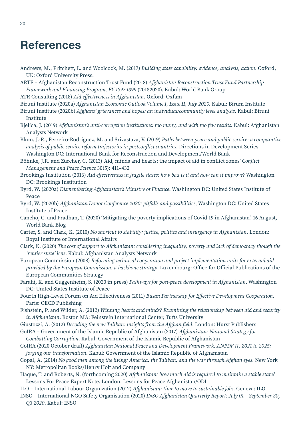# <span id="page-19-0"></span>**References**

- Andrews, M., Pritchett, L. and Woolcock, M. (2017) *Building state capability: evidence, analysis, action*. Oxford, UK: Oxford University Press.
- ARTF Afghanistan Reconstruction Trust Fund (2018) *Afghanistan Reconstruction Trust Fund Partnership Framework and Financing Program, FY 1397-1399* (20182020). Kabul: World Bank Group

ATR Consulting (2018) *Aid effectiveness in Afghanistan*. Oxford: Oxfam

- Biruni Institute (2020a) *Afghanistan Economic Outlook Volume I, Issue II, July 2020.* Kabul: Biruni Institute Biruni Institute (2020b) *Afghans' grievances and hopes: an individual/community level analysis*. Kabul: Biruni Institute
- Bjelica, J. (2019) *Afghanistan's anti-corruption institutions: too many, and with too few results*. Kabul: Afghanistan Analysts Network
- Blum, J.-R., Ferreiro-Rodriguez, M. and Srivastava, V. (2019) *Paths between peace and public service: a comparative analysis of public service reform trajectories in postconflict countries*. Directions in Development Series. Washington DC: International Bank for Reconstruction and Development/World Bank
- Böhnke, J.R. and Zürcher, C. (2013) 'Aid, minds and hearts: the impact of aid in conflict zones' *Conflict Management and Peace Science* 30(5): 411–432
- Brookings Institution (2016) *Aid effectiveness in fragile states: how bad is it and how can it improve?* Washington DC: Brookings Institution
- Byrd, W. (2020a) *Dismembering Afghanistan's Ministry of Finance*. Washington DC: United States Institute of Peace
- Byrd, W. (2020b) *Afghanistan Donor Conference 2020: pitfalls and possibilities*, Washington DC: United States Institute of Peace
- Cancho, C. and Pradhan, T. (2020) 'Mitigating the poverty implications of Covid-19 in Afghanistan'. 16 August, World Bank Blog
- Carter, S. and Clark, K. (2010) *No shortcut to stability: justice, politics and insurgency in Afghanistan*. London: Royal Institute of International Affairs
- Clark, K. (2020) *The cost of support to Afghanistan: considering inequality, poverty and lack of democracy though the 'rentier state' lens*. Kabul: Afghanistan Analysts Network
- European Commission (2008) *Reforming technical cooperation and project implementation units for external aid provided by the European Commission: a backbone strategy*. Luxembourg: Office for Official Publications of the European Communities Strategy
- Farahi, K. and Guggenheim, S. (2020 in press) *Pathways for post-peace development in Afghanistan*. Washington DC: United States Institute of Peace
- Fourth High-Level Forum on Aid Effectiveness (2011) *Busan Partnership for Effective Development Cooperation*. Paris: OECD Publishing
- Fishstein, P. and Wilder, A. (2012) *Winning hearts and minds? Examining the relationship between aid and security in Afghanistan*. Boston MA: Feinstein International Center, Tufts University
- Giustozzi, A. (2012) *Decoding the new Taliban: insights from the Afghan field*. London: Hurst Publishers
- GoIRA Government of the Islamic Republic of Afghanistan (2017) *Afghanistan: National Strategy for Combatting Corruption*. Kabul: Government of the Islamic Republic of Afghanistan
- GoIRA (2020 October draft) *Afghanistan National Peace and Development Framework, ANPDF II, 2021 to 2025: forging our transformation*. Kabul: Government of the Islamic Republic of Afghanistan
- Gopal, A. (2014) *No good men among the living: America, the Taliban, and the war through Afghan eyes*. New York NY: Metropolitan Books/Henry Holt and Company
- Haque, T. and Roberts, N. (forthcoming 2020) *Afghanistan: how much aid is required to maintain a stable state?* Lessons For Peace Expert Note. London: Lessons for Peace Afghanistan/ODI
- ILO International Labour Organization (2012) *Afghanistan: time to move to sustainable jobs*. Geneva: ILO
- INSO International NGO Safety Organisation (2020) *INSO Afghanistan Quarterly Report: July 01 September 30*, *Q3 2020*. Kabul: INSO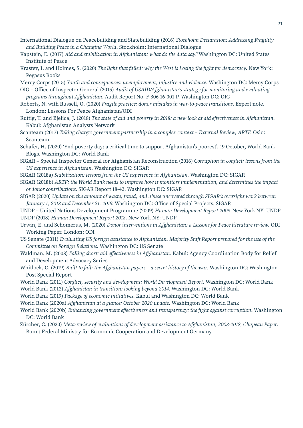- International Dialogue on Peacebuilding and Statebuilding (2016) *Stockholm Declaration: Addressing Fragility and Building Peace in a Changing World*. Stockholm: International Dialogue
- Kapstein, E. (2017) *Aid and stabilization in Afghanistan: what do the data say?* Washington DC: United States Institute of Peace
- Krastev, I. and Holmes, S. (2020) *The light that failed: why the West is Losing the fight for democracy.* New York: Pegasus Books
- Mercy Corps (2015) *Youth and consequences: unemployment, injustice and violence*. Washington DC: Mercy Corps
- OIG Office of Inspector General (2015) *Audit of USAID/Afghanistan's strategy for monitoring and evaluating programs throughout Afghanistan*. Audit Report No. F-306-16-001-P. Washington DC: OIG
- Roberts, N. with Russell, O. (2020) *Fragile practice: donor mistakes in war-to-peace transitions*. Expert note. London: Lessons For Peace Afghanistan/ODI
- Ruttig, T. and Bjelica, J. (2018) *The state of aid and poverty in 2018: a new look at aid effectiveness in Afghanistan.* Kabul: Afghanistan Analysts Network
- Scanteam (2017) *Taking charge: government partnership in a complex context External Review, ARTF.* Oslo: Scanteam
- Schafer, H. (2020) 'End poverty day: a critical time to support Afghanistan's poorest'. 19 October, World Bank Blogs. Washington DC: World Bank
- SIGAR Special Inspector General for Afghanistan Reconstruction (2016) *Corruption in conflict: lessons from the US experience in Afghanistan.* Washington DC: SIGAR
- SIGAR (2018a) *Stabilization: lessons from the US experience in Afghanistan.* Washington DC: SIGAR
- SIGAR (2018b) *ARTF: the World Bank needs to improve how it monitors implementation, and determines the impact of donor contributions.* SIGAR Report 18-42. Washington DC: SIGAR
- SIGAR (2020) *Update on the amount of waste, fraud, and abuse uncovered through SIGAR's oversight work between January 1, 2018 and December 31, 2019.* Washington DC: Office of Special Projects, SIGAR
- UNDP United Nations Development Programme (2009) *Human Development Report 2009.* New York NY: UNDP UNDP (2018) *Human Development Report 2018*. New York NY: UNDP
- Urwin, E. and Schomerus, M. (2020) *Donor interventions in Afghanistan: a Lessons for Peace literature review.* ODI Working Paper. London: ODI
- US Senate (2011) *Evaluating US foreign assistance to Afghanistan. Majority Staff Report prepared for the use of the Committee on Foreign Relations.* Washington DC: US Senate
- Waldman, M. (2008) *Falling short: aid effectiveness in Afghanistan.* Kabul: Agency Coordination Body for Relief and Development Advocacy Series
- Whitlock, C. (2019) *Built to fail: the Afghanistan papers a secret history of the war.* Washington DC: Washington Post Special Report
- World Bank (2011) *Conflict, security and development: World Development Report*. Washington DC: World Bank World Bank (2012) *Afghanistan in transition: looking beyond 2014.* Washington DC: World Bank
- World Bank (2019) *Package of economic initiatives*. Kabul and Washington DC: World Bank
- World Bank (2020a) *Afghanistan at a glance: October 2020 update*. Washington DC: World Bank
- World Bank (2020b) *Enhancing government effectiveness and transparency: the fight against corruption*. Washington DC: World Bank
- Zürcher, C. (2020) *Meta-review of evaluations of development assistance to Afghanistan, 2008-2018, Chapeau Paper*. Bonn: Federal Ministry for Economic Cooperation and Development Germany